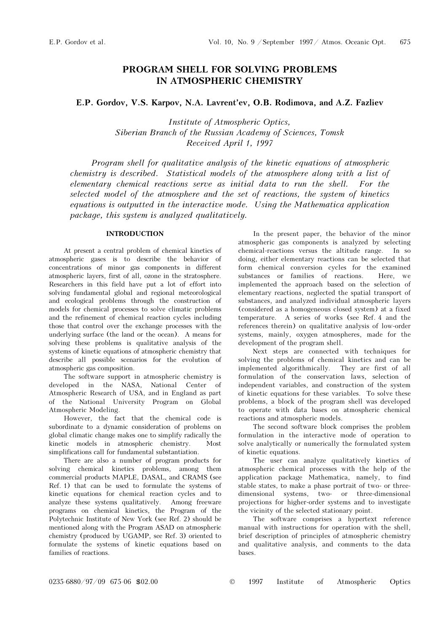## PROGRAM SHELL FOR SOLVING PROBLEMS IN ATMOSPHERIC CHEMISTRY

E.P. Gordov, V.S. Karpov, N.A. Lavrent'ev, O.B. Rodimova, and A.Z. Fazliev

Institute of Atmospheric Optics, Siberian Branch of the Russian Academy of Sciences, Tomsk Received April 1, 1997

Program shell for qualitative analysis of the kinetic equations of atmospheric chemistry is described. Statistical models of the atmosphere along with a list of elementary chemical reactions serve as initial data to run the shell. For the selected model of the atmosphere and the set of reactions, the system of kinetics equations is outputted in the interactive mode. Using the Mathematica application package, this system is analyzed qualitatively.

### INTRODUCTION

At present a central problem of chemical kinetics of atmospheric gases is to describe the behavior of concentrations of minor gas components in different atmospheric layers, first of all, ozone in the stratosphere. Researchers in this field have put a lot of effort into solving fundamental global and regional meteorological and ecological problems through the construction of models for chemical processes to solve climatic problems and the refinement of chemical reaction cycles including those that control over the exchange processes with the underlying surface (the land or the ocean). A means for solving these problems is qualitative analysis of the systems of kinetic equations of atmospheric chemistry that describe all possible scenarios for the evolution of atmospheric gas composition.

The software support in atmospheric chemistry is developed in the NASA, National Center of Atmospheric Research of USA, and in England as part of the National University Program on Global Atmospheric Modeling.

However, the fact that the chemical code is subordinate to a dynamic consideration of problems on global climatic change makes one to simplify radically the kinetic models in atmospheric chemistry. Most simplifications call for fundamental substantiation.

There are also a number of program products for solving chemical kinetics problems, among them commercial products MAPLE, DASAL, and CRAMS (see Ref. 1) that can be used to formulate the systems of kinetic equations for chemical reaction cycles and to analyze these systems qualitatively. Among freeware programs on chemical kinetics, the Program of the Polytechnic Institute of New York (see Ref. 2) should be mentioned along with the Program ASAD on atmospheric chemistry (produced by UGAMP, see Ref. 3) oriented to formulate the systems of kinetic equations based on families of reactions.

In the present paper, the behavior of the minor atmospheric gas components is analyzed by selecting chemical-reactions versus the altitude range. In so doing, either elementary reactions can be selected that form chemical conversion cycles for the examined substances or families of reactions. Here, we implemented the approach based on the selection of elementary reactions, neglected the spatial transport of substances, and analyzed individual atmospheric layers (considered as a homogeneous closed system) at a fixed temperature. A series of works (see Ref. 4 and the references therein) on qualitative analysis of low-order systems, mainly, oxygen atmospheres, made for the development of the program shell.

Next steps are connected with techniques for solving the problems of chemical kinetics and can be implemented algorithmically. They are first of all formulation of the conservation laws, selection of independent variables, and construction of the system of kinetic equations for these variables. To solve these problems, a block of the program shell was developed to operate with data bases on atmospheric chemical reactions and atmospheric models.

The second software block comprises the problem formulation in the interactive mode of operation to solve analytically or numerically the formulated system of kinetic equations.

The user can analyze qualitatively kinetics of atmospheric chemical processes with the help of the application package Mathematica, namely, to find stable states, to make a phase portrait of two- or threedimensional systems, two- or three-dimensional projections for higher-order systems and to investigate the vicinity of the selected stationary point.

The software comprises a hypertext reference manual with instructions for operation with the shell, brief description of principles of atmospheric chemistry and qualitative analysis, and comments to the data bases.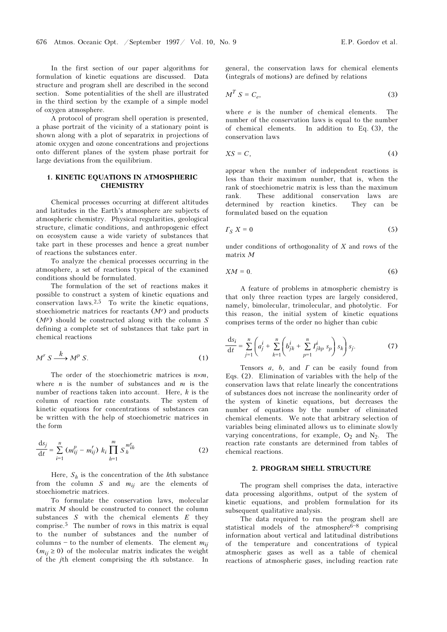In the first section of our paper algorithms for formulation of kinetic equations are discussed. Data structure and program shell are described in the second section. Some potentialities of the shell are illustrated in the third section by the example of a simple model of oxygen atmosphere.

A protocol of program shell operation is presented, a phase portrait of the vicinity of a stationary point is shown along with a plot of separatrix in projections of atomic oxygen and ozone concentrations and projections onto different planes of the system phase portrait for large deviations from the equilibrium.

#### 1. KINETIC EQUATIONS IN ATMOSPHERIC **CHEMISTRY**

Chemical processes occurring at different altitudes and latitudes in the Earth's atmosphere are subjects of atmospheric chemistry. Physical regularities, geological structure, climatic conditions, and anthropogenic effect on ecosystem cause a wide variety of substances that take part in these processes and hence a great number of reactions the substances enter.

To analyze the chemical processes occurring in the atmosphere, a set of reactions typical of the examined conditions should be formulated.

The formulation of the set of reactions makes it possible to construct a system of kinetic equations and conservation laws.<sup>2,5</sup> To write the kinetic equations, stoechiometric matrices for reactants  $(M<sup>r</sup>)$  and products  $(M<sup>p</sup>)$  should be constructed along with the column S defining a complete set of substances that take part in chemical reactions

$$
M^r S \xrightarrow{k} M^p S. \tag{1}
$$

The order of the stoechiometric matrices is  $n \times m$ . where *n* is the number of substances and *m* is the number of reactions taken into account. Here,  $k$  is the column of reaction rate constants. The system of kinetic equations for concentrations of substances can be written with the help of stoechiometric matrices in the form

$$
\frac{ds_j}{dt} = \sum_{i=1}^{n} (m_{ij}^p - m_{ij}^r) k_i \prod_{h=1}^{m} S_h^{m_{ih}^r}
$$
 (2)

Here,  $S_h$  is the concentration of the hth substance from the column  $S$  and  $m_{ij}$  are the elements of stoechiometric matrices.

To formulate the conservation laws, molecular matrix M should be constructed to connect the column substances  $S$  with the chemical elements  $E$  they comprise.5 The number of rows in this matrix is equal to the number of substances and the number of columns  $-$  to the number of elements. The element  $m_{ii}$  $(m_{ii} \geq 0)$  of the molecular matrix indicates the weight of the jth element comprising the ith substance. In general, the conservation laws for chemical elements (integrals of motions) are defined by relations

$$
M^T S = C_e, \tag{3}
$$

where  $e$  is the number of chemical elements. The number of the conservation laws is equal to the number of chemical elements. In addition to Eq. (3), the conservation laws

$$
XS = C,\tag{4}
$$

appear when the number of independent reactions is less than their maximum number, that is, when the rank of stoechiometric matrix is less than the maximum rank. These additional conservation laws are determined by reaction kinetics. They can be formulated based on the equation

$$
\Gamma_S X = 0 \tag{5}
$$

under conditions of orthogonality of  $X$  and rows of the matrix M

$$
XM = 0.\t\t(6)
$$

A feature of problems in atmospheric chemistry is that only three reaction types are largely considered, namely, bimolecular, trimolecular, and photolytic. For this reason, the initial system of kinetic equations comprises terms of the order no higher than cubic

$$
\frac{ds_i}{dt} = \sum_{j=1}^n \left( a_j^i + \sum_{k=1}^n \left( b_{jk}^i + \sum_{p=1}^n I_{jkp}^i \, s_p \right) s_k \right) s_j. \tag{7}
$$

Tensors  $a$ ,  $b$ , and  $\Gamma$  can be easily found from Eqs. (2). Elimination of variables with the help of the conservation laws that relate linearly the concentrations of substances does not increase the nonlinearity order of the system of kinetic equations, but decreases the number of equations by the number of eliminated chemical elements. We note that arbitrary selection of variables being eliminated allows us to eliminate slowly varying concentrations, for example,  $O_2$  and  $N_2$ . The reaction rate constants are determined from tables of chemical reactions.

### 2. PROGRAM SHELL STRUCTURE

The program shell comprises the data, interactive data processing algorithms, output of the system of kinetic equations, and problem formulation for its subsequent qualitative analysis.

The data required to run the program shell are statistical models of the atmosphere $6-8$  comprising information about vertical and latitudinal distributions of the temperature and concentrations of typical atmospheric gases as well as a table of chemical reactions of atmospheric gases, including reaction rate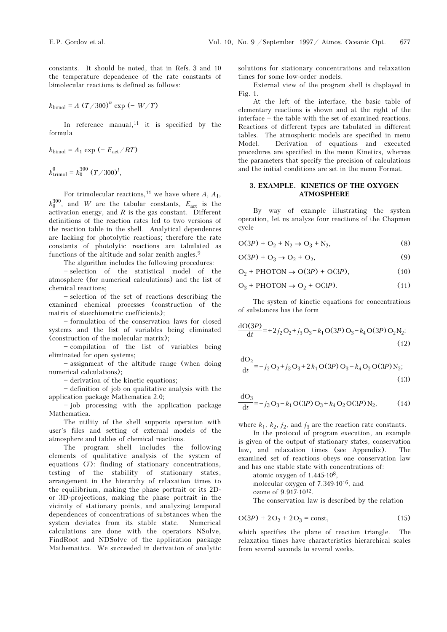constants. It should be noted, that in Refs. 3 and 10 the temperature dependence of the rate constants of bimolecular reactions is defined as follows:

$$
k_{\text{bimol}} = A (T/300)^n \exp(-W/T)
$$

In reference manual, $11$  it is specified by the formula

$$
k_{\text{bimol}} = A_1 \exp(-E_{\text{act}}/RT)
$$
  

$$
k_{\text{trimol}}^0 = k_0^{300} (T/300)^l,
$$

For trimolecular reactions,<sup>11</sup> we have where A,  $A_1$ ,  $k_0^{300}$ , and W are the tabular constants,  $E_{\text{act}}$  is the activation energy, and  $R$  is the gas constant. Different definitions of the reaction rates led to two versions of the reaction table in the shell. Analytical dependences are lacking for photolytic reactions; therefore the rate constants of photolytic reactions are tabulated as functions of the altitude and solar zenith angles.<sup>9</sup>

The algorithm includes the following procedures:

- selection of the statistical model of the atmosphere (for numerical calculations) and the list of chemical reactions;

 $-$  selection of the set of reactions describing the examined chemical processes (construction of the matrix of stoechiometric coefficients);

 $-$  formulation of the conservation laws for closed systems and the list of variables being eliminated (construction of the molecular matrix);

- compilation of the list of variables being eliminated for open systems;

 $-$  assignment of the altitude range (when doing numerical calculations);

 $-$  derivation of the kinetic equations;

 $-$  definition of job on qualitative analysis with the application package Mathematica 2.0;

- job processing with the application package Mathematica.

The utility of the shell supports operation with user's files and setting of external models of the atmosphere and tables of chemical reactions.

The program shell includes the following elements of qualitative analysis of the system of equations (7): finding of stationary concentrations, testing of the stability of stationary states, arrangement in the hierarchy of relaxation times to the equilibrium, making the phase portrait or its 2Dor 3D-projections, making the phase portrait in the vicinity of stationary points, and analyzing temporal dependences of concentrations of substances when the system deviates from its stable state. Numerical calculations are done with the operators NSolve, FindRoot and NDSolve of the application package Mathematica. We succeeded in derivation of analytic solutions for stationary concentrations and relaxation times for some low-order models.

External view of the program shell is displayed in Fig. 1.

At the left of the interface, the basic table of elementary reactions is shown and at the right of the  $interface - the table with the set of examined reactions.$ Reactions of different types are tabulated in different tables. The atmospheric models are specified in menu Model. Derivation of equations and executed procedures are specified in the menu Kinetics, whereas the parameters that specify the precision of calculations and the initial conditions are set in the menu Format.

### 3. EXAMPLE. KINETICS OF THE OXYGEN ATMOSPHERE

By way of example illustrating the system operation, let us analyze four reactions of the Chapmen cycle

$$
O(3P) + O_2 + N_2 \to O_3 + N_2, \tag{8}
$$

$$
O(3P) + O_3 \to O_2 + O_2, \tag{9}
$$

$$
O_2 + PHOTON \to O(3P) + O(3P), \tag{10}
$$

$$
O_3 + PHOTON \to O_2 + O(3P). \tag{11}
$$

The system of kinetic equations for concentrations of substances has the form

$$
\frac{\mathrm{dO}(3P)}{\mathrm{d}t} = +2j_2O_2 + j_3O_3 - k_1O(3P)O_3 - k_4O(3P)O_2N_2;
$$
\n(12)

$$
\frac{dO_2}{dt} = -j_2 O_2 + j_3 O_3 + 2 k_1 O(3P) O_3 - k_4 O_2 O(3P) N_2;
$$
\n(13)

$$
\frac{dO_3}{dt} = -j_3 O_3 - k_1 O(3P) O_3 + k_4 O_2 O(3P) N_2, \qquad (14)
$$

where  $k_1$ ,  $k_2$ ,  $j_2$ , and  $j_3$  are the reaction rate constants.

In the protocol of program execution, an example is given of the output of stationary states, conservation law, and relaxation times (see Appendix). The examined set of reactions obeys one conservation law and has one stable state with concentrations of:

atomic oxygen of 1.445⋅108, molecular oxygen of 7.349⋅1016, and ozone of 9.917⋅1012. The conservation law is described by the relation

$$
O(3P) + 2O_2 + 2O_3 = \text{const},\tag{15}
$$

which specifies the plane of reaction triangle. The relaxation times have characteristics hierarchical scales from several seconds to several weeks.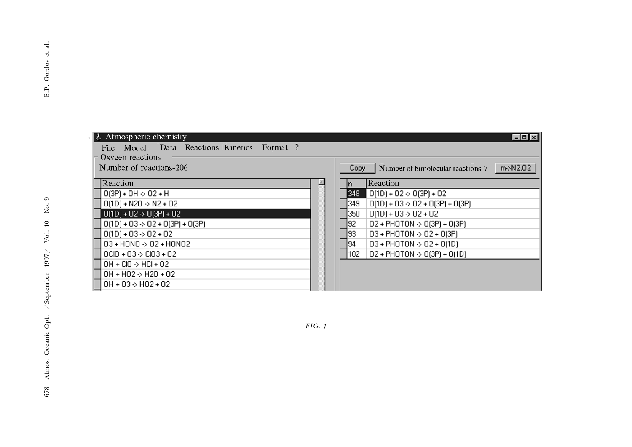| Atmospheric chemistry                       | - 0 x                                                 |
|---------------------------------------------|-------------------------------------------------------|
| File Model Data Reactions Kinetics Format?  |                                                       |
| Oxygen reactions                            |                                                       |
| Number of reactions-206                     | m->N2,02<br>Number of bimolecular reactions-7<br>Copy |
| Reaction                                    | Reaction                                              |
| $O(3P) + OH \rightarrow O2 + H$             | 348 <br>$O(1D) + O2 \rightarrow O(3P) + O2$           |
| $O(1D) + N2O \rightarrow N2 + O2$           | $O(1D) + O3 \rightarrow O2 + O(3P) + O(3P)$<br>349    |
| $0(1D) + 02 \rightarrow 0(3P) + 02$         | 350<br>$0(1D) + 03 \rightarrow 02 + 02$               |
| $O(1D) + O3 \rightarrow O2 + O(3P) + O(3P)$ | 92<br>$02 + PHOTON \rightarrow O(3P) + O(3P)$         |
| $0(1D) + 03 > 02 + 02$                      | 93 <br>$03 + PHOTON \rightarrow 02 + O(3P)$           |
| $03 + HONO \rightarrow O2 + HONO2$          | 194<br>$03 + PHOTON > 02 + O(1D)$                     |
| $OCIO + O3 \rightarrow CIO3 + O2$           | 102<br>$02 + PHOTON \rightarrow O(3P) + O(1D)$        |
| $OH + ClO \rightarrow HCl + O2$             |                                                       |
| $OH + HO2 \rightarrow H20 + O2$             |                                                       |
| $OH + O3 \rightarrow HO2 + O2$              |                                                       |

FIG. 1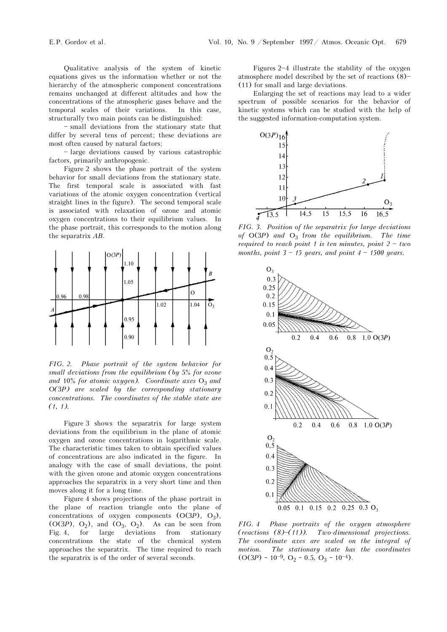Qualitative analysis of the system of kinetic equations gives us the information whether or not the hierarchy of the atmospheric component concentrations remains unchanged at different altitudes and how the concentrations of the atmospheric gases behave and the temporal scales of their variations. In this case, structurally two main points can be distinguished:

- small deviations from the stationary state that differ by several tens of percent; these deviations are most often caused by natural factors;

 $-$  large deviations caused by various catastrophic factors, primarily anthropogenic.

Figure 2 shows the phase portrait of the system behavior for small deviations from the stationary state. The first temporal scale is associated with fast variations of the atomic oxygen concentration (vertical straight lines in the figure). The second temporal scale is associated with relaxation of ozone and atomic oxygen concentrations to their equilibrium values. In the phase portrait, this corresponds to the motion along the separatrix AB.



FIG. 2. Phase portrait of the system behavior for small deviations from the equilibrium (by 5% for ozone and 10% for atomic oxygen). Coordinate axes  $O_3$  and O(3P) are scaled by the corresponding stationary concentrations. The coordinates of the stable state are  $(1, 1)$ .

Figure 3 shows the separatrix for large system deviations from the equilibrium in the plane of atomic oxygen and ozone concentrations in logarithmic scale. The characteristic times taken to obtain specified values of concentrations are also indicated in the figure. In analogy with the case of small deviations, the point with the given ozone and atomic oxygen concentrations approaches the separatrix in a very short time and then moves along it for a long time.

Figure 4 shows projections of the phase portrait in the plane of reaction triangle onto the plane of concentrations of oxygen components  $(O(3P), O_3)$ ,  $(O(3P), O_2)$ , and  $(O_3, O_2)$ . As can be seen from Fig. 4, for large deviations from stationary concentrations the state of the chemical system approaches the separatrix. The time required to reach the separatrix is of the order of several seconds.

Figures  $2-4$  illustrate the stability of the oxygen atmosphere model described by the set of reactions  $(8)$ -(11) for small and large deviations.

Enlarging the set of reactions may lead to a wider spectrum of possible scenarios for the behavior of kinetic systems which can be studied with the help of the suggested information-computation system.



FIG. 3. Position of the separatrix for large deviations of  $O(3P)$  and  $O_3$  from the equilibrium. The time required to reach point 1 is ten minutes, point  $2 - two$ months, point  $3 - 15$  years, and point  $4 - 1500$  years.



FIG. 4 Phase portraits of the oxygen atmosphere (reactions  $(8)$ – $(11)$ ). Two-dimensional projections. The coordinate axes are scaled on the integral of motion. The stationary state has the coordinates  $(O(3P) \sim 10^{-9}, O_2 \sim 0.5, O_3 \sim 10^{-4}).$